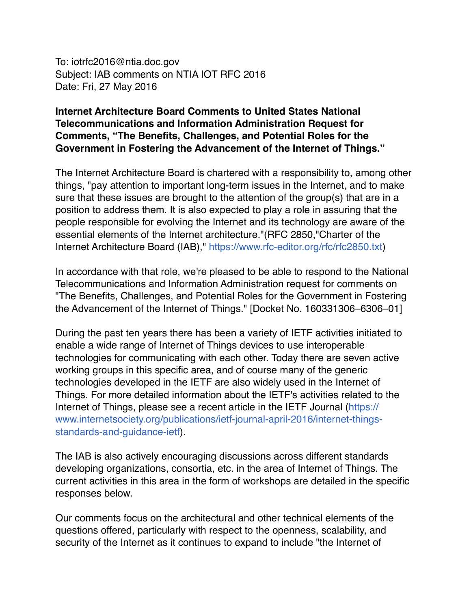To: iotrfc2016@ntia.doc.gov Subject: IAB comments on NTIA IOT RFC 2016 Date: Fri, 27 May 2016

## **Internet Architecture Board Comments to United States National Telecommunications and Information Administration Request for Comments, "The Benefits, Challenges, and Potential Roles for the Government in Fostering the Advancement of the Internet of Things."**

The Internet Architecture Board is chartered with a responsibility to, among other things, "pay attention to important long-term issues in the Internet, and to make sure that these issues are brought to the attention of the group(s) that are in a position to address them. It is also expected to play a role in assuring that the people responsible for evolving the Internet and its technology are aware of the essential elements of the Internet architecture."(RFC 2850,"Charter of the Internet Architecture Board (IAB)," <https://www.rfc-editor.org/rfc/rfc2850.txt>)

In accordance with that role, we're pleased to be able to respond to the National Telecommunications and Information Administration request for comments on "The Benefits, Challenges, and Potential Roles for the Government in Fostering the Advancement of the Internet of Things." [Docket No. 160331306–6306–01]

During the past ten years there has been a variety of IETF activities initiated to enable a wide range of Internet of Things devices to use interoperable technologies for communicating with each other. Today there are seven active working groups in this specific area, and of course many of the generic technologies developed in the IETF are also widely used in the Internet of Things. For more detailed information about the IETF's activities related to the Internet of Things, please see a recent article in the IETF Journal (https:// [www.internetsociety.org/publications/ietf-journal-april-2016/internet-things](https://www.internetsociety.org/publications/ietf-journal-april-2016/internet-things-standards-and-guidance-ietf)standards-and-guidance-ietf).

The IAB is also actively encouraging discussions across different standards developing organizations, consortia, etc. in the area of Internet of Things. The current activities in this area in the form of workshops are detailed in the specific responses below.

Our comments focus on the architectural and other technical elements of the questions offered, particularly with respect to the openness, scalability, and security of the Internet as it continues to expand to include "the Internet of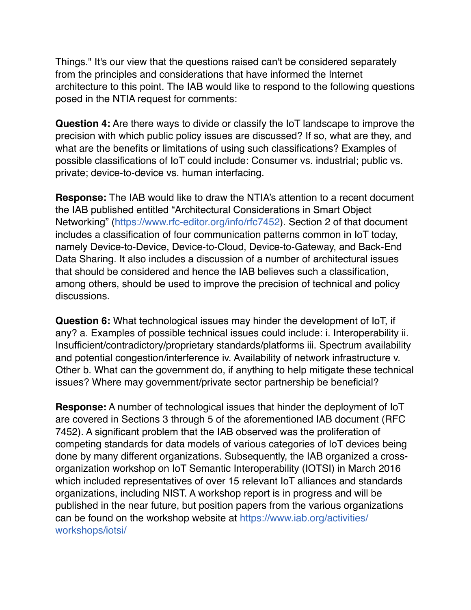Things." It's our view that the questions raised can't be considered separately from the principles and considerations that have informed the Internet architecture to this point. The IAB would like to respond to the following questions posed in the NTIA request for comments:

**Question 4:** Are there ways to divide or classify the IoT landscape to improve the precision with which public policy issues are discussed? If so, what are they, and what are the benefits or limitations of using such classifications? Examples of possible classifications of IoT could include: Consumer vs. industrial; public vs. private; device-to-device vs. human interfacing.

**Response:** The IAB would like to draw the NTIA's attention to a recent document the IAB published entitled "Architectural Considerations in Smart Object Networking" [\(https://www.rfc-editor.org/info/rfc7452\)](https://www.rfc-editor.org/info/rfc7452). Section 2 of that document includes a classification of four communication patterns common in IoT today, namely Device-to-Device, Device-to-Cloud, Device-to-Gateway, and Back-End Data Sharing. It also includes a discussion of a number of architectural issues that should be considered and hence the IAB believes such a classification, among others, should be used to improve the precision of technical and policy discussions.

**Question 6:** What technological issues may hinder the development of IoT, if any? a. Examples of possible technical issues could include: i. Interoperability ii. Insufficient/contradictory/proprietary standards/platforms iii. Spectrum availability and potential congestion/interference iv. Availability of network infrastructure v. Other b. What can the government do, if anything to help mitigate these technical issues? Where may government/private sector partnership be beneficial?

**Response:** A number of technological issues that hinder the deployment of IoT are covered in Sections 3 through 5 of the aforementioned IAB document (RFC 7452). A significant problem that the IAB observed was the proliferation of competing standards for data models of various categories of IoT devices being done by many different organizations. Subsequently, the IAB organized a crossorganization workshop on IoT Semantic Interoperability (IOTSI) in March 2016 which included representatives of over 15 relevant IoT alliances and standards organizations, including NIST. A workshop report is in progress and will be published in the near future, but position papers from the various organizations [can be found on the workshop website at https://www.iab.org/activities/](https://www.iab.org/activities/workshops/iotsi/) workshops/iotsi/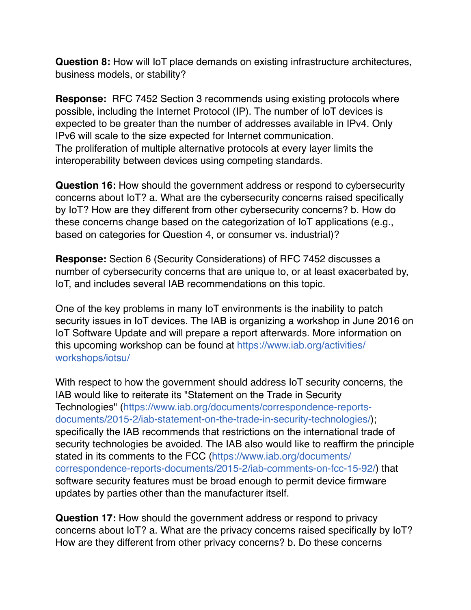**Question 8:** How will IoT place demands on existing infrastructure architectures, business models, or stability?

**Response:** RFC 7452 Section 3 recommends using existing protocols where possible, including the Internet Protocol (IP). The number of IoT devices is expected to be greater than the number of addresses available in IPv4. Only IPv6 will scale to the size expected for Internet communication. The proliferation of multiple alternative protocols at every layer limits the interoperability between devices using competing standards.

**Question 16:** How should the government address or respond to cybersecurity concerns about IoT? a. What are the cybersecurity concerns raised specifically by IoT? How are they different from other cybersecurity concerns? b. How do these concerns change based on the categorization of IoT applications (e.g., based on categories for Question 4, or consumer vs. industrial)?

**Response:** Section 6 (Security Considerations) of RFC 7452 discusses a number of cybersecurity concerns that are unique to, or at least exacerbated by, IoT, and includes several IAB recommendations on this topic.

One of the key problems in many IoT environments is the inability to patch security issues in IoT devices. The IAB is organizing a workshop in June 2016 on IoT Software Update and will prepare a report afterwards. More information on [this upcoming workshop can be found at https://www.iab.org/activities/](https://www.iab.org/activities/workshops/iotsu/) workshops/iotsu/

With respect to how the government should address IoT security concerns, the IAB would like to reiterate its "Statement on the Trade in Security [Technologies" \(https://www.iab.org/documents/correspondence-reports](https://www.iab.org/documents/correspondence-reports-documents/2015-2/iab-statement-on-the-trade-in-security-technologies/)documents/2015-2/iab-statement-on-the-trade-in-security-technologies/); specifically the IAB recommends that restrictions on the international trade of security technologies be avoided. The IAB also would like to reaffirm the principle stated in its comments to the FCC (https://www.iab.org/documents/ [correspondence-reports-documents/2015-2/iab-comments-on-fcc-15-92/](https://www.iab.org/documents/correspondence-reports-documents/2015-2/iab-comments-on-fcc-15-92/)) that software security features must be broad enough to permit device firmware updates by parties other than the manufacturer itself.

**Question 17:** How should the government address or respond to privacy concerns about IoT? a. What are the privacy concerns raised specifically by IoT? How are they different from other privacy concerns? b. Do these concerns